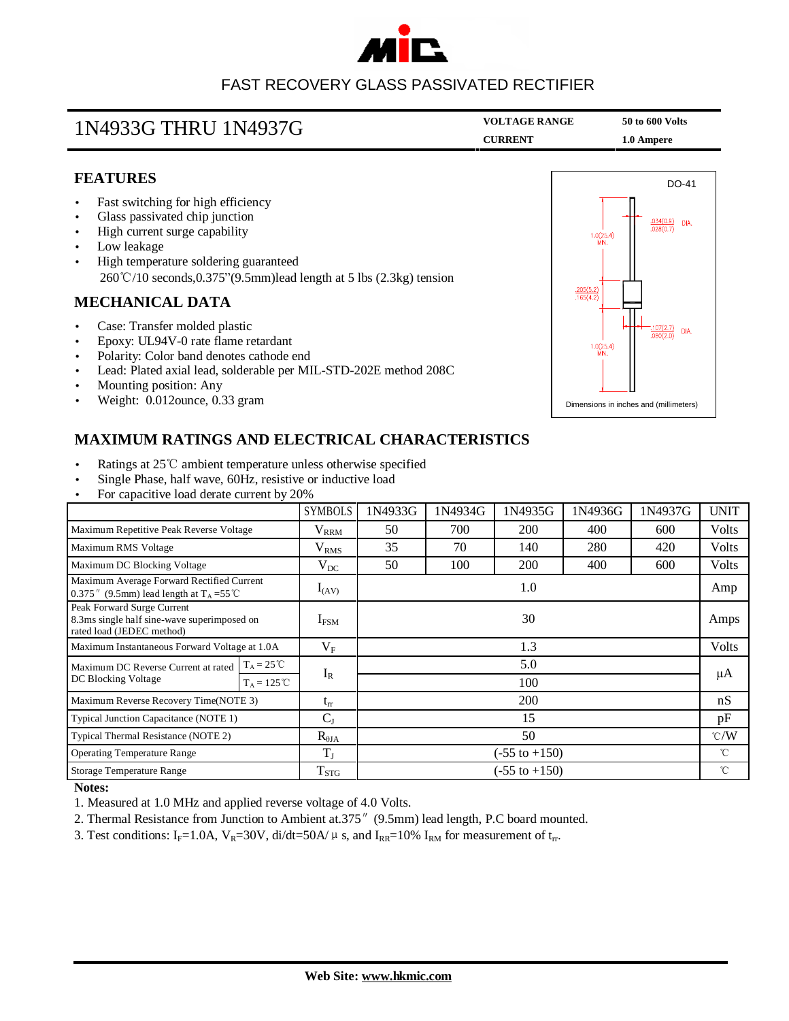

### FAST RECOVERY GLASS PASSIVATED RECTIFIER

| 1N4933G THRU 1N4937G | <b>VOLTAGE RANGE</b> | 50 to 600 Volts |  |
|----------------------|----------------------|-----------------|--|
|                      | <b>CURRENT</b>       | 1.0 Ampere      |  |

#### **FEATURES**

- Fast switching for high efficiency
- Glass passivated chip junction
- High current surge capability
- Low leakage
- High temperature soldering guaranteed 260℃/10 seconds,0.375"(9.5mm)lead length at 5 lbs (2.3kg) tension

#### **MECHANICAL DATA**

- Case: Transfer molded plastic
- Epoxy: UL94V-0 rate flame retardant
- Polarity: Color band denotes cathode end
- Lead: Plated axial lead, solderable per MIL-STD-202E method 208C
- Mounting position: Any
- Weight: 0.012ounce, 0.33 gram



#### **MAXIMUM RATINGS AND ELECTRICAL CHARACTERISTICS**

- Ratings at 25℃ ambient temperature unless otherwise specified
- Single Phase, half wave, 60Hz, resistive or inductive load
- For capacitive load derate current by 20%

|                                                                                                        |                      | <b>SYMBOLS</b>           | 1N4933G                  | 1N4934G | 1N4935G | 1N4936G | 1N4937G | <b>UNIT</b>     |
|--------------------------------------------------------------------------------------------------------|----------------------|--------------------------|--------------------------|---------|---------|---------|---------|-----------------|
| Maximum Repetitive Peak Reverse Voltage                                                                |                      | $V_{RRM}$                | 50                       | 700     | 200     | 400     | 600     | <b>Volts</b>    |
| Maximum RMS Voltage                                                                                    |                      | $V_{RMS}$                | 35                       | 70      | 140     | 280     | 420     | <b>Volts</b>    |
| Maximum DC Blocking Voltage                                                                            |                      | $\rm V_{DC}$             | 50                       | 100     | 200     | 400     | 600     | Volts           |
| Maximum Average Forward Rectified Current<br>0.375" (9.5mm) lead length at $T_A = 55^{\circ}$ C        |                      | $I_{(AV)}$               | 1.0                      |         |         |         |         | Amp             |
| Peak Forward Surge Current<br>8.3ms single half sine-wave superimposed on<br>rated load (JEDEC method) |                      | $I_{FSM}$                | 30                       |         |         |         |         | Amps            |
| Maximum Instantaneous Forward Voltage at 1.0A                                                          |                      | $V_{\rm F}$              | 1.3                      |         |         |         |         | Volts           |
| Maximum DC Reverse Current at rated<br>DC Blocking Voltage                                             | $T_A = 25^{\circ}C$  | $I_R$                    | 5.0<br>100               |         |         |         |         | μA              |
|                                                                                                        | $T_A = 125^{\circ}C$ |                          |                          |         |         |         |         |                 |
| Maximum Reverse Recovery Time(NOTE 3)                                                                  |                      | $t_{rr}$                 | 200                      |         |         |         |         | nS              |
| Typical Junction Capacitance (NOTE 1)                                                                  |                      | $C_{J}$                  | 15                       |         |         |         |         | pF              |
| Typical Thermal Resistance (NOTE 2)                                                                    |                      | $R_{\theta JA}$          | 50                       |         |         |         |         | $\mathcal{C}/W$ |
| $T_{J}$<br><b>Operating Temperature Range</b>                                                          |                      | $(-55 \text{ to } +150)$ |                          |         |         |         | °C      |                 |
| Storage Temperature Range                                                                              |                      | <b>T</b> <sub>STG</sub>  | $(-55 \text{ to } +150)$ |         |         |         |         | $^{\circ}$ C    |

#### **Notes:**

- 1. Measured at 1.0 MHz and applied reverse voltage of 4.0 Volts.
- 2. Thermal Resistance from Junction to Ambient at.375″(9.5mm) lead length, P.C board mounted.
- 3. Test conditions: I<sub>F</sub>=1.0A, V<sub>R</sub>=30V, di/dt=50A/ $\mu$  s, and I<sub>RR</sub>=10% I<sub>RM</sub> for measurement of t<sub>rr</sub>.